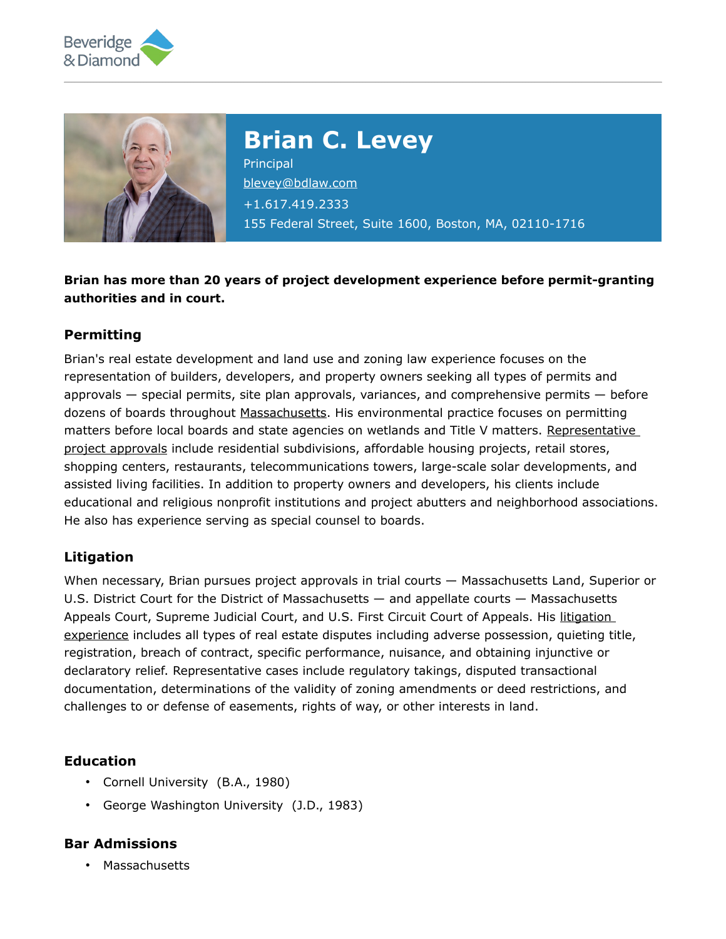



**Brian C. Levey**

**Principal** [blevey@bdlaw.com](mailto:blevey@bdlaw.com) +1.617.419.2333 155 Federal Street, Suite 1600, Boston, MA, 02110-1716

**Brian has more than 20 years of project development experience before permit-granting authorities and in court.**

## **Permitting**

Brian's real estate development and land use and zoning law experience focuses on the representation of builders, developers, and property owners seeking all types of permits and approvals — special permits, site plan approvals, variances, and comprehensive permits — before dozens of boards throughout [Massachusetts.](file:///home/beveridge/www/content/uploads/tmp/content%2Fuploads%2F2018%2F06%2Fbrian20levey20-20municipal20permitting20and20litigation20experience.pdf) His environmental practice focuses on permitting matters before local boards and state agencies on wetlands and Title V matters. Representative [project approvals](file:///home/beveridge/www/content/uploads/tmp/content%2Fuploads%2F2018%2F06%2F2006-08-01_bcl_representative_projects0.pdf) include residential subdivisions, affordable housing projects, retail stores, shopping centers, restaurants, telecommunications towers, large-scale solar developments, and assisted living facilities. In addition to property owners and developers, his clients include educational and religious nonprofit institutions and project abutters and neighborhood associations. He also has experience serving as special counsel to boards.

## **Litigation**

When necessary, Brian pursues project approvals in trial courts — Massachusetts Land, Superior or U.S. District Court for the District of Massachusetts — and appellate courts — Massachusetts Appeals Court, Supreme Judicial Court, and U.S. First Circuit Court of Appeals. His litigation [experience](file:///home/beveridge/www/content/uploads/tmp/content%2Fuploads%2F2018%2F06%2F2009-10-02_bcl_litigation_experience.pdf) includes all types of real estate disputes including adverse possession, quieting title, registration, breach of contract, specific performance, nuisance, and obtaining injunctive or declaratory relief. Representative cases include regulatory takings, disputed transactional documentation, determinations of the validity of zoning amendments or deed restrictions, and challenges to or defense of easements, rights of way, or other interests in land.

#### **Education**

- Cornell University (B.A., 1980)
- George Washington University (J.D., 1983)

## **Bar Admissions**

• Massachusetts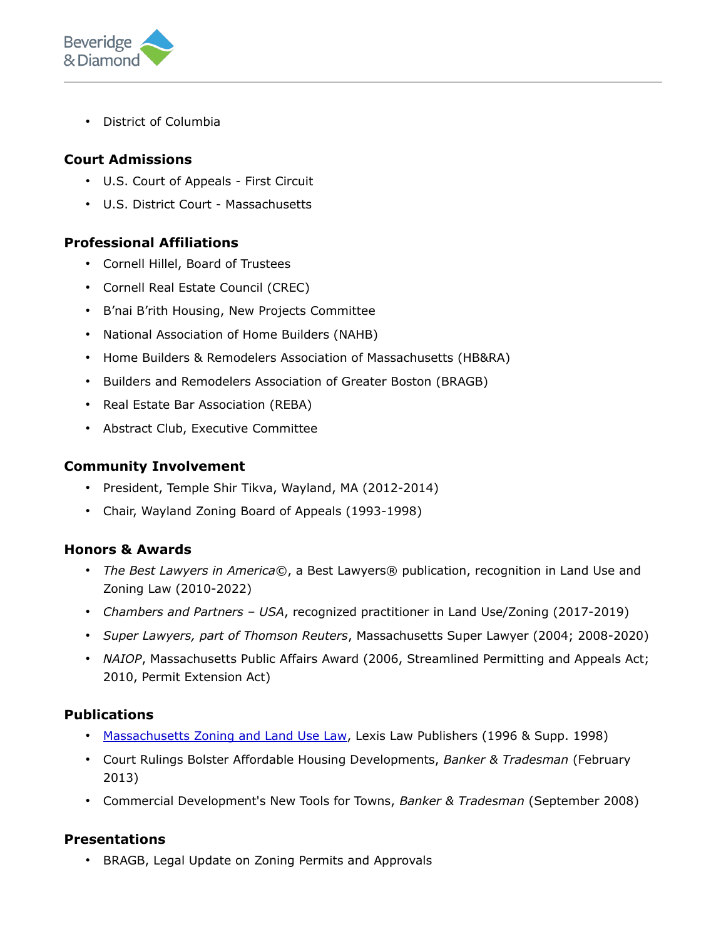

• District of Columbia

# **Court Admissions**

- U.S. Court of Appeals First Circuit
- U.S. District Court Massachusetts

## **Professional Affiliations**

- Cornell Hillel, Board of Trustees
- Cornell Real Estate Council (CREC)
- B'nai B'rith Housing, New Projects Committee
- National Association of Home Builders (NAHB)
- Home Builders & Remodelers Association of Massachusetts (HB&RA)
- Builders and Remodelers Association of Greater Boston (BRAGB)
- Real Estate Bar Association (REBA)
- Abstract Club, Executive Committee

#### **Community Involvement**

- President, Temple Shir Tikva, Wayland, MA (2012-2014)
- Chair, Wayland Zoning Board of Appeals (1993-1998)

## **Honors & Awards**

- *The Best Lawyers in America*©, a Best Lawyers® publication, recognition in Land Use and Zoning Law (2010-2022)
- *Chambers and Partners USA*, recognized practitioner in Land Use/Zoning (2017-2019)
- *Super Lawyers, part of Thomson Reuters*, Massachusetts Super Lawyer (2004; 2008-2020)
- *NAIOP*, Massachusetts Public Affairs Award (2006, Streamlined Permitting and Appeals Act; 2010, Permit Extension Act)

## **Publications**

- [Massachusetts Zoning and Land Use Law,](file:///home/beveridge/www/content/uploads/tmp/content%2Fuploads%2F2018%2F06%2F20102009202920bcl20book20references.pdf) Lexis Law Publishers (1996 & Supp. 1998)
- Court Rulings Bolster Affordable Housing Developments, *Banker & Tradesman* (February 2013)
- Commercial Development's New Tools for Towns, *Banker & Tradesman* (September 2008)

## **Presentations**

• BRAGB, Legal Update on Zoning Permits and Approvals